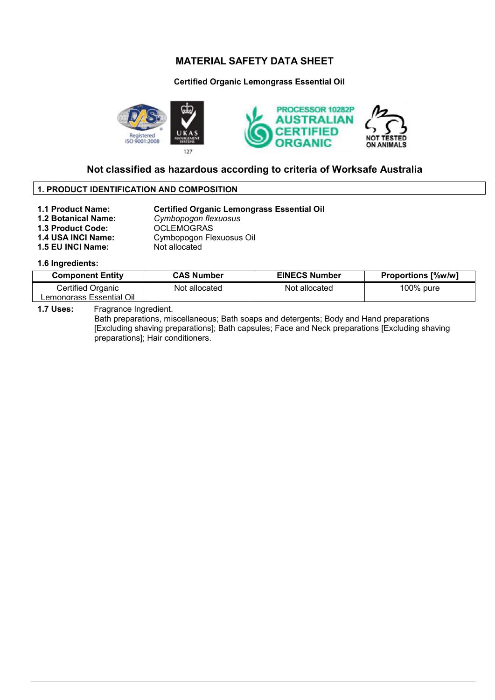### **Certified Organic Lemongrass Essential Oil**



## **Not classified as hazardous according to criteria of Worksafe Australia**

### **1. PRODUCT IDENTIFICATION AND COMPOSITION**

**1.1 Product Name:** Certified Organic Lemongrass Essential Oil<br> **1.2 Botanical Name:** Cymbopogon flexuosus **1.2 Botanical Name:** *Cymbopogon flexuosus* 1.3 Product Code: **OCLEMOGRAS 1.4 USA INCI Name:** Cymbopogon Flexuosus Oil

## **1.5 EU INCI Name:** Not allocated

### **1.6 Ingredients:**

| <b>Component Entity</b> | <b>CAS Number</b> | <b>EINECS Number</b> | <b>Proportions [%w/w]</b> |
|-------------------------|-------------------|----------------------|---------------------------|
| Certified Organic       | Not allocated     | Not allocated        | 100% pure                 |
| emongrass Essential Oil |                   |                      |                           |

**1.7 Uses:** Fragrance Ingredient.

Bath preparations, miscellaneous; Bath soaps and detergents; Body and Hand preparations [Excluding shaving preparations]; Bath capsules; Face and Neck preparations [Excluding shaving preparations]; Hair conditioners.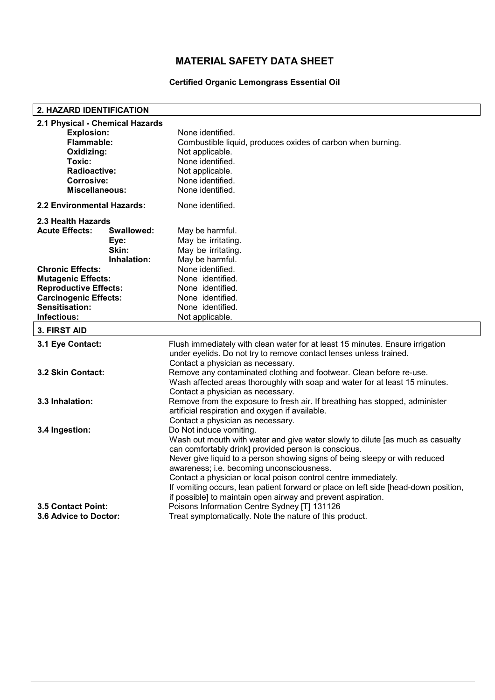## **Certified Organic Lemongrass Essential Oil**

| 2. HAZARD IDENTIFICATION        |             |                                                                                                                          |  |  |  |
|---------------------------------|-------------|--------------------------------------------------------------------------------------------------------------------------|--|--|--|
| 2.1 Physical - Chemical Hazards |             |                                                                                                                          |  |  |  |
| <b>Explosion:</b>               |             | None identified.                                                                                                         |  |  |  |
| Flammable:                      |             | Combustible liquid, produces oxides of carbon when burning.                                                              |  |  |  |
| Oxidizing:                      |             | Not applicable.                                                                                                          |  |  |  |
| Toxic:                          |             | None identified.                                                                                                         |  |  |  |
| Radioactive:                    |             | Not applicable.                                                                                                          |  |  |  |
| <b>Corrosive:</b>               |             | None identified.                                                                                                         |  |  |  |
| Miscellaneous:                  |             | None identified.                                                                                                         |  |  |  |
| 2.2 Environmental Hazards:      |             | None identified.                                                                                                         |  |  |  |
| 2.3 Health Hazards              |             |                                                                                                                          |  |  |  |
| <b>Acute Effects:</b>           | Swallowed:  | May be harmful.                                                                                                          |  |  |  |
|                                 | Eye:        | May be irritating.                                                                                                       |  |  |  |
|                                 | Skin:       | May be irritating.                                                                                                       |  |  |  |
|                                 | Inhalation: | May be harmful.                                                                                                          |  |  |  |
| <b>Chronic Effects:</b>         |             | None identified.                                                                                                         |  |  |  |
| <b>Mutagenic Effects:</b>       |             | None identified.                                                                                                         |  |  |  |
| <b>Reproductive Effects:</b>    |             | None identified.                                                                                                         |  |  |  |
| <b>Carcinogenic Effects:</b>    |             | None identified.                                                                                                         |  |  |  |
| Sensitisation:                  |             | None identified.                                                                                                         |  |  |  |
| Infectious:                     |             | Not applicable.                                                                                                          |  |  |  |
| 3. FIRST AID                    |             |                                                                                                                          |  |  |  |
| 3.1 Eye Contact:                |             | Flush immediately with clean water for at least 15 minutes. Ensure irrigation                                            |  |  |  |
|                                 |             | under eyelids. Do not try to remove contact lenses unless trained.                                                       |  |  |  |
|                                 |             | Contact a physician as necessary.                                                                                        |  |  |  |
| 3.2 Skin Contact:               |             | Remove any contaminated clothing and footwear. Clean before re-use.                                                      |  |  |  |
|                                 |             | Wash affected areas thoroughly with soap and water for at least 15 minutes.                                              |  |  |  |
|                                 |             | Contact a physician as necessary.                                                                                        |  |  |  |
| 3.3 Inhalation:                 |             | Remove from the exposure to fresh air. If breathing has stopped, administer                                              |  |  |  |
|                                 |             | artificial respiration and oxygen if available.                                                                          |  |  |  |
|                                 |             | Contact a physician as necessary.                                                                                        |  |  |  |
| 3.4 Ingestion:                  |             | Do Not induce vomiting.                                                                                                  |  |  |  |
|                                 |             | Wash out mouth with water and give water slowly to dilute [as much as casualty                                           |  |  |  |
|                                 |             | can comfortably drink] provided person is conscious.                                                                     |  |  |  |
|                                 |             | Never give liquid to a person showing signs of being sleepy or with reduced<br>awareness; i.e. becoming unconsciousness. |  |  |  |
|                                 |             | Contact a physician or local poison control centre immediately.                                                          |  |  |  |
|                                 |             | If vomiting occurs, lean patient forward or place on left side [head-down position,                                      |  |  |  |
|                                 |             | if possible] to maintain open airway and prevent aspiration.                                                             |  |  |  |
| <b>3.5 Contact Point:</b>       |             | Poisons Information Centre Sydney [T] 131126                                                                             |  |  |  |
| <b>3.6 Advice to Doctor:</b>    |             | Treat symptomatically. Note the nature of this product.                                                                  |  |  |  |
|                                 |             |                                                                                                                          |  |  |  |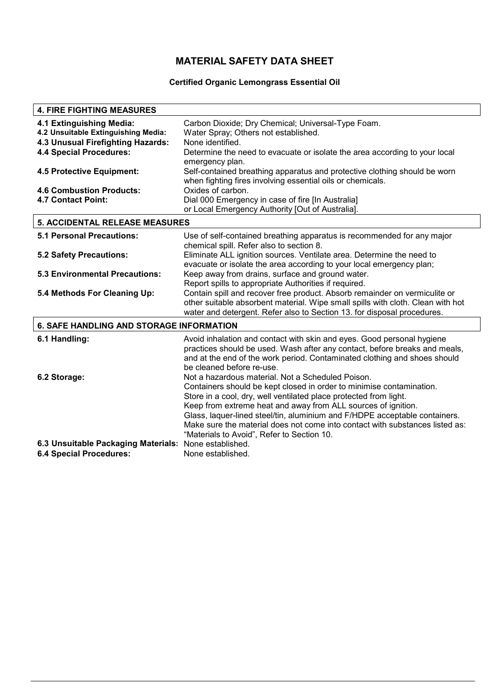## **Certified Organic Lemongrass Essential Oil**

| <b>4. FIRE FIGHTING MEASURES</b>                             |                                                                                                       |  |  |
|--------------------------------------------------------------|-------------------------------------------------------------------------------------------------------|--|--|
| 4.1 Extinguishing Media:                                     | Carbon Dioxide; Dry Chemical; Universal-Type Foam.                                                    |  |  |
| 4.2 Unsuitable Extinguishing Media:                          | Water Spray; Others not established.                                                                  |  |  |
| 4.3 Unusual Firefighting Hazards:                            | None identified.                                                                                      |  |  |
| <b>4.4 Special Procedures:</b>                               | Determine the need to evacuate or isolate the area according to your local                            |  |  |
|                                                              | emergency plan.                                                                                       |  |  |
| 4.5 Protective Equipment:                                    | Self-contained breathing apparatus and protective clothing should be worn                             |  |  |
|                                                              | when fighting fires involving essential oils or chemicals.                                            |  |  |
| <b>4.6 Combustion Products:</b><br><b>4.7 Contact Point:</b> | Oxides of carbon.                                                                                     |  |  |
|                                                              | Dial 000 Emergency in case of fire [In Australia]<br>or Local Emergency Authority [Out of Australia]. |  |  |
|                                                              |                                                                                                       |  |  |
| <b>5. ACCIDENTAL RELEASE MEASURES</b>                        |                                                                                                       |  |  |
| <b>5.1 Personal Precautions:</b>                             | Use of self-contained breathing apparatus is recommended for any major                                |  |  |
|                                                              | chemical spill. Refer also to section 8.                                                              |  |  |
| <b>5.2 Safety Precautions:</b>                               | Eliminate ALL ignition sources. Ventilate area. Determine the need to                                 |  |  |
|                                                              | evacuate or isolate the area according to your local emergency plan;                                  |  |  |
| 5.3 Environmental Precautions:                               | Keep away from drains, surface and ground water.                                                      |  |  |
|                                                              | Report spills to appropriate Authorities if required.                                                 |  |  |
| 5.4 Methods For Cleaning Up:                                 | Contain spill and recover free product. Absorb remainder on vermiculite or                            |  |  |
|                                                              | other suitable absorbent material. Wipe small spills with cloth. Clean with hot                       |  |  |
|                                                              | water and detergent. Refer also to Section 13. for disposal procedures.                               |  |  |
| <b>6. SAFE HANDLING AND STORAGE INFORMATION</b>              |                                                                                                       |  |  |
| 6.1 Handling:                                                | Avoid inhalation and contact with skin and eyes. Good personal hygiene                                |  |  |
|                                                              | practices should be used. Wash after any contact, before breaks and meals,                            |  |  |
|                                                              | and at the end of the work period. Contaminated clothing and shoes should                             |  |  |
|                                                              | be cleaned before re-use.                                                                             |  |  |
| 6.2 Storage:                                                 | Not a hazardous material. Not a Scheduled Poison.                                                     |  |  |
|                                                              | Containers should be kept closed in order to minimise contamination.                                  |  |  |
|                                                              | Store in a cool, dry, well ventilated place protected from light.                                     |  |  |
|                                                              | Keep from extreme heat and away from ALL sources of ignition.                                         |  |  |
|                                                              | Glass, laquer-lined steel/tin, aluminium and F/HDPE acceptable containers.                            |  |  |
|                                                              | Make sure the material does not come into contact with substances listed as:                          |  |  |
| 6.3 Unsuitable Packaging Materials:                          | "Materials to Avoid", Refer to Section 10.<br>None established.                                       |  |  |
| <b>6.4 Special Procedures:</b>                               | None established.                                                                                     |  |  |
|                                                              |                                                                                                       |  |  |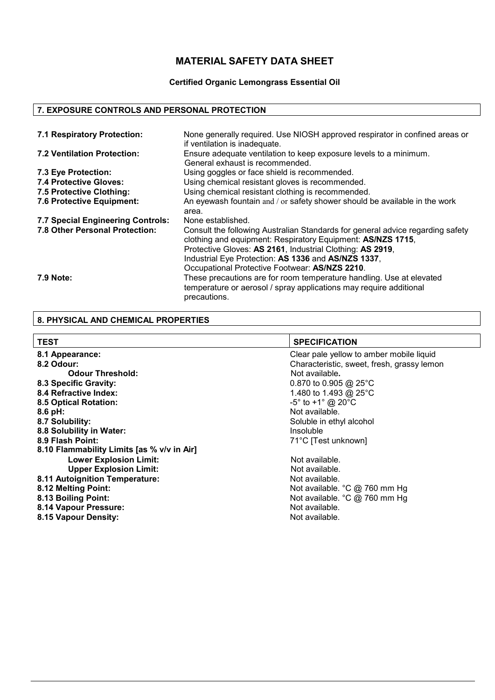## **Certified Organic Lemongrass Essential Oil**

## **7. EXPOSURE CONTROLS AND PERSONAL PROTECTION**

| 7.1 Respiratory Protection:           | None generally required. Use NIOSH approved respirator in confined areas or<br>if ventilation is inadequate.                                                                                                                                                                                                        |
|---------------------------------------|---------------------------------------------------------------------------------------------------------------------------------------------------------------------------------------------------------------------------------------------------------------------------------------------------------------------|
| 7.2 Ventilation Protection:           | Ensure adequate ventilation to keep exposure levels to a minimum.<br>General exhaust is recommended.                                                                                                                                                                                                                |
| 7.3 Eye Protection:                   | Using goggles or face shield is recommended.                                                                                                                                                                                                                                                                        |
| 7.4 Protective Gloves:                | Using chemical resistant gloves is recommended.                                                                                                                                                                                                                                                                     |
| 7.5 Protective Clothing:              | Using chemical resistant clothing is recommended.                                                                                                                                                                                                                                                                   |
| 7.6 Protective Equipment:             | An eyewash fountain and / or safety shower should be available in the work<br>area.                                                                                                                                                                                                                                 |
| 7.7 Special Engineering Controls:     | None established.                                                                                                                                                                                                                                                                                                   |
| <b>7.8 Other Personal Protection:</b> | Consult the following Australian Standards for general advice regarding safety<br>clothing and equipment: Respiratory Equipment: AS/NZS 1715,<br>Protective Gloves: AS 2161, Industrial Clothing: AS 2919,<br>Industrial Eye Protection: AS 1336 and AS/NZS 1337,<br>Occupational Protective Footwear: AS/NZS 2210. |
| 7.9 Note:                             | These precautions are for room temperature handling. Use at elevated<br>temperature or aerosol / spray applications may require additional<br>precautions.                                                                                                                                                          |

# **8. PHYSICAL AND CHEMICAL PROPERTIES**

| <b>TEST</b>                                | <b>SPECIFICATION</b>                            |  |  |
|--------------------------------------------|-------------------------------------------------|--|--|
| 8.1 Appearance:                            | Clear pale yellow to amber mobile liquid        |  |  |
| 8.2 Odour:                                 | Characteristic, sweet, fresh, grassy lemon      |  |  |
| <b>Odour Threshold:</b>                    | Not available.                                  |  |  |
| 8.3 Specific Gravity:                      | 0.870 to 0.905 @ 25 $^{\circ}$ C                |  |  |
| 8.4 Refractive Index:                      | 1.480 to 1.493 @ 25°C                           |  |  |
| <b>8.5 Optical Rotation:</b>               | $-5^{\circ}$ to +1 $^{\circ}$ @ 20 $^{\circ}$ C |  |  |
| 8.6 pH:                                    | Not available.                                  |  |  |
| 8.7 Solubility:                            | Soluble in ethyl alcohol                        |  |  |
| 8.8 Solubility in Water:                   | Insoluble                                       |  |  |
| 8.9 Flash Point:                           | 71°C [Test unknown]                             |  |  |
| 8.10 Flammability Limits [as % v/v in Air] |                                                 |  |  |
| <b>Lower Explosion Limit:</b>              | Not available.                                  |  |  |
| <b>Upper Explosion Limit:</b>              | Not available.                                  |  |  |
| 8.11 Autoignition Temperature:             | Not available.                                  |  |  |
| 8.12 Melting Point:                        | Not available. °C @ 760 mm Hg                   |  |  |
| 8.13 Boiling Point:                        | Not available. °C @ 760 mm Hg                   |  |  |
| 8.14 Vapour Pressure:                      | Not available.                                  |  |  |
| 8.15 Vapour Density:                       | Not available.                                  |  |  |
|                                            |                                                 |  |  |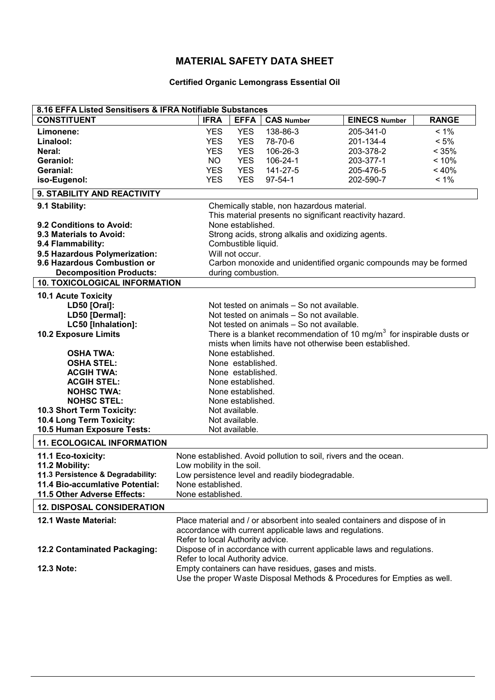## **Certified Organic Lemongrass Essential Oil**

| 8.16 EFFA Listed Sensitisers & IFRA Notifiable Substances |                                                                               |                    |                                                          |                                                                                   |              |
|-----------------------------------------------------------|-------------------------------------------------------------------------------|--------------------|----------------------------------------------------------|-----------------------------------------------------------------------------------|--------------|
| <b>CONSTITUENT</b>                                        | <b>IFRA</b>                                                                   | <b>EFFA</b>        | <b>CAS Number</b>                                        | <b>EINECS Number</b>                                                              | <b>RANGE</b> |
| Limonene:                                                 | <b>YES</b>                                                                    | <b>YES</b>         | 138-86-3                                                 | 205-341-0                                                                         | $< 1\%$      |
| Linalool:                                                 | <b>YES</b>                                                                    | <b>YES</b>         | 78-70-6                                                  | 201-134-4                                                                         | $< 5\%$      |
| Neral:                                                    | <b>YES</b>                                                                    | <b>YES</b>         | 106-26-3                                                 | 203-378-2                                                                         | < 35%        |
| Geraniol:                                                 | NO.                                                                           | <b>YES</b>         | 106-24-1                                                 | 203-377-1                                                                         | < 10%        |
| Geranial:                                                 | <b>YES</b>                                                                    | <b>YES</b>         | 141-27-5                                                 | 205-476-5                                                                         | $~10\%$      |
| iso-Eugenol:                                              | <b>YES</b>                                                                    | <b>YES</b>         | $97 - 54 - 1$                                            | 202-590-7                                                                         | $< 1\%$      |
| 9. STABILITY AND REACTIVITY                               |                                                                               |                    |                                                          |                                                                                   |              |
| 9.1 Stability:                                            |                                                                               |                    | Chemically stable, non hazardous material.               |                                                                                   |              |
|                                                           |                                                                               |                    |                                                          |                                                                                   |              |
| 9.2 Conditions to Avoid:                                  | This material presents no significant reactivity hazard.<br>None established. |                    |                                                          |                                                                                   |              |
| 9.3 Materials to Avoid:                                   |                                                                               |                    |                                                          |                                                                                   |              |
| 9.4 Flammability:                                         | Strong acids, strong alkalis and oxidizing agents.<br>Combustible liquid.     |                    |                                                          |                                                                                   |              |
| 9.5 Hazardous Polymerization:                             |                                                                               | Will not occur.    |                                                          |                                                                                   |              |
| 9.6 Hazardous Combustion or                               |                                                                               |                    |                                                          | Carbon monoxide and unidentified organic compounds may be formed                  |              |
| <b>Decomposition Products:</b>                            |                                                                               | during combustion. |                                                          |                                                                                   |              |
| <b>10. TOXICOLOGICAL INFORMATION</b>                      |                                                                               |                    |                                                          |                                                                                   |              |
| <b>10.1 Acute Toxicity</b>                                |                                                                               |                    |                                                          |                                                                                   |              |
| <b>LD50 [Oral]:</b>                                       |                                                                               |                    | Not tested on animals - So not available.                |                                                                                   |              |
| LD50 [Dermal]:                                            |                                                                               |                    | Not tested on animals - So not available.                |                                                                                   |              |
| LC50 [Inhalation]:                                        |                                                                               |                    | Not tested on animals - So not available.                |                                                                                   |              |
| <b>10.2 Exposure Limits</b>                               |                                                                               |                    |                                                          | There is a blanket recommendation of 10 mg/m <sup>3</sup> for inspirable dusts or |              |
|                                                           |                                                                               |                    |                                                          | mists when limits have not otherwise been established.                            |              |
| <b>OSHA TWA:</b>                                          |                                                                               |                    |                                                          |                                                                                   |              |
| <b>OSHA STEL:</b>                                         | None established.<br>None established.                                        |                    |                                                          |                                                                                   |              |
| <b>ACGIH TWA:</b>                                         | None established.                                                             |                    |                                                          |                                                                                   |              |
| <b>ACGIH STEL:</b>                                        | None established.                                                             |                    |                                                          |                                                                                   |              |
| <b>NOHSC TWA:</b>                                         |                                                                               |                    |                                                          |                                                                                   |              |
| <b>NOHSC STEL:</b>                                        | None established.                                                             |                    |                                                          |                                                                                   |              |
| 10.3 Short Term Toxicity:                                 | None established.<br>Not available.                                           |                    |                                                          |                                                                                   |              |
| 10.4 Long Term Toxicity:                                  |                                                                               | Not available.     |                                                          |                                                                                   |              |
| 10.5 Human Exposure Tests:                                |                                                                               | Not available.     |                                                          |                                                                                   |              |
|                                                           |                                                                               |                    |                                                          |                                                                                   |              |
| <b>11. ECOLOGICAL INFORMATION</b>                         |                                                                               |                    |                                                          |                                                                                   |              |
| 11.1 Eco-toxicity:                                        |                                                                               |                    |                                                          | None established. Avoid pollution to soil, rivers and the ocean.                  |              |
| 11.2 Mobility:                                            | Low mobility in the soil.                                                     |                    |                                                          |                                                                                   |              |
| 11.3 Persistence & Degradability:                         | Low persistence level and readily biodegradable.                              |                    |                                                          |                                                                                   |              |
| <b>11.4 Bio-accumlative Potential:</b>                    | None established.                                                             |                    |                                                          |                                                                                   |              |
| 11.5 Other Adverse Effects:                               | None established.                                                             |                    |                                                          |                                                                                   |              |
| <b>12. DISPOSAL CONSIDERATION</b>                         |                                                                               |                    |                                                          |                                                                                   |              |
| 12.1 Waste Material:                                      |                                                                               |                    |                                                          | Place material and / or absorbent into sealed containers and dispose of in        |              |
|                                                           |                                                                               |                    | accordance with current applicable laws and regulations. |                                                                                   |              |
|                                                           | Refer to local Authority advice.                                              |                    |                                                          |                                                                                   |              |
| 12.2 Contaminated Packaging:                              |                                                                               |                    |                                                          | Dispose of in accordance with current applicable laws and regulations.            |              |
|                                                           | Refer to local Authority advice.                                              |                    |                                                          |                                                                                   |              |
|                                                           |                                                                               |                    |                                                          |                                                                                   |              |
| 12.3 Note:                                                |                                                                               |                    | Empty containers can have residues, gases and mists.     |                                                                                   |              |
|                                                           |                                                                               |                    |                                                          | Use the proper Waste Disposal Methods & Procedures for Empties as well.           |              |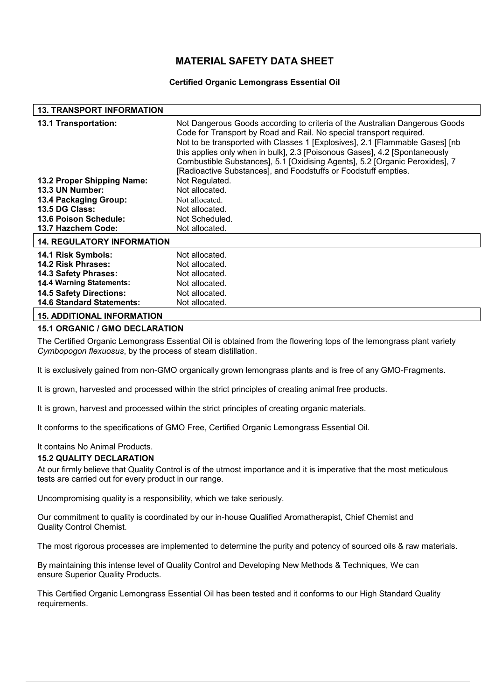### **Certified Organic Lemongrass Essential Oil**

### **13. TRANSPORT INFORMATION**

| <b>13.1 Transportation:</b>       | Not Dangerous Goods according to criteria of the Australian Dangerous Goods<br>Code for Transport by Road and Rail. No special transport required.<br>Not to be transported with Classes 1 [Explosives], 2.1 [Flammable Gases] [nb]<br>this applies only when in bulk], 2.3 [Poisonous Gases], 4.2 [Spontaneously<br>Combustible Substances], 5.1 [Oxidising Agents], 5.2 [Organic Peroxides], 7<br>[Radioactive Substances], and Foodstuffs or Foodstuff empties. |
|-----------------------------------|--------------------------------------------------------------------------------------------------------------------------------------------------------------------------------------------------------------------------------------------------------------------------------------------------------------------------------------------------------------------------------------------------------------------------------------------------------------------|
| 13.2 Proper Shipping Name:        | Not Regulated.                                                                                                                                                                                                                                                                                                                                                                                                                                                     |
| 13.3 UN Number:                   | Not allocated.                                                                                                                                                                                                                                                                                                                                                                                                                                                     |
| 13.4 Packaging Group:             | Not allocated.                                                                                                                                                                                                                                                                                                                                                                                                                                                     |
| <b>13.5 DG Class:</b>             | Not allocated.                                                                                                                                                                                                                                                                                                                                                                                                                                                     |
| 13.6 Poison Schedule:             | Not Scheduled.                                                                                                                                                                                                                                                                                                                                                                                                                                                     |
| 13.7 Hazchem Code:                | Not allocated.                                                                                                                                                                                                                                                                                                                                                                                                                                                     |
| <b>14. REGULATORY INFORMATION</b> |                                                                                                                                                                                                                                                                                                                                                                                                                                                                    |
| 14.1 Risk Symbols:                | Not allocated.                                                                                                                                                                                                                                                                                                                                                                                                                                                     |
| <b>14.2 Risk Phrases:</b>         | Not allocated.                                                                                                                                                                                                                                                                                                                                                                                                                                                     |
| <b>14.3 Safety Phrases:</b>       | Not allocated.                                                                                                                                                                                                                                                                                                                                                                                                                                                     |
| <b>14.4 Warning Statements:</b>   | Not allocated.                                                                                                                                                                                                                                                                                                                                                                                                                                                     |
| <b>14.5 Safety Directions:</b>    | Not allocated.                                                                                                                                                                                                                                                                                                                                                                                                                                                     |
| <b>14.6 Standard Statements:</b>  | Not allocated.                                                                                                                                                                                                                                                                                                                                                                                                                                                     |
| <b>15. ADDITIONAL INFORMATION</b> |                                                                                                                                                                                                                                                                                                                                                                                                                                                                    |

## **15.1 ORGANIC / GMO DECLARATION**

The Certified Organic Lemongrass Essential Oil is obtained from the flowering tops of the lemongrass plant variety *Cymbopogon flexuosus*, by the process of steam distillation.

It is exclusively gained from non-GMO organically grown lemongrass plants and is free of any GMO-Fragments.

It is grown, harvested and processed within the strict principles of creating animal free products.

It is grown, harvest and processed within the strict principles of creating organic materials.

It conforms to the specifications of GMO Free, Certified Organic Lemongrass Essential Oil.

#### It contains No Animal Products.

#### **15.2 QUALITY DECLARATION**

At our firmly believe that Quality Control is of the utmost importance and it is imperative that the most meticulous tests are carried out for every product in our range.

Uncompromising quality is a responsibility, which we take seriously.

Our commitment to quality is coordinated by our in-house Qualified Aromatherapist, Chief Chemist and Quality Control Chemist.

The most rigorous processes are implemented to determine the purity and potency of sourced oils & raw materials.

By maintaining this intense level of Quality Control and Developing New Methods & Techniques, We can ensure Superior Quality Products.

This Certified Organic Lemongrass Essential Oil has been tested and it conforms to our High Standard Quality requirements.